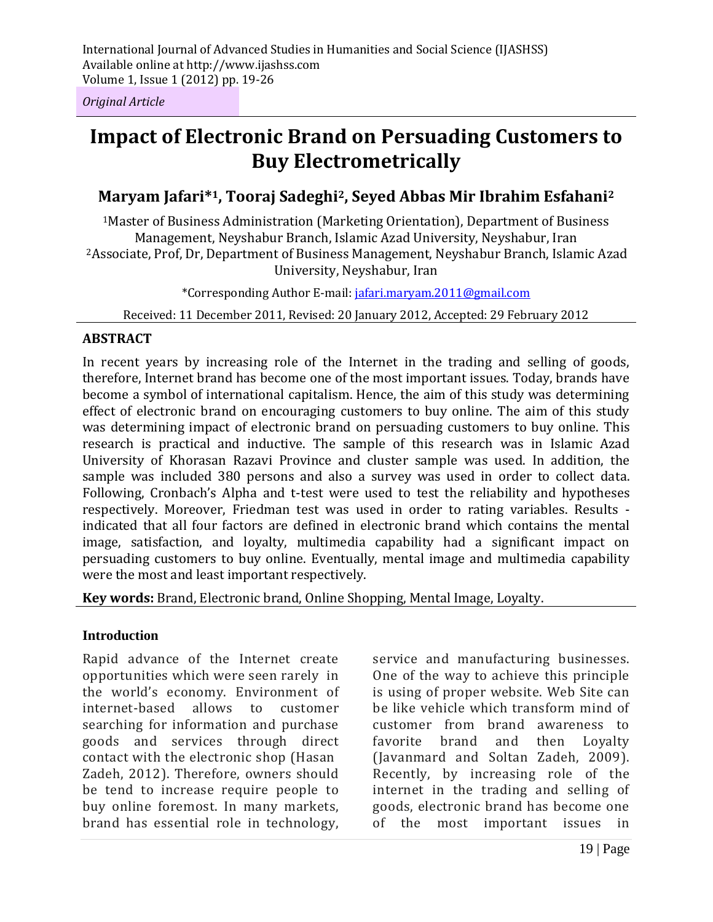*Original Article*

# **Impact of Electronic Brand on Persuading Customers to Buy Electrometrically**

# **Maryam Jafari\*1, Tooraj Sadeghi2, Seyed Abbas Mir Ibrahim Esfahani<sup>2</sup>**

<sup>1</sup>Master of Business Administration (Marketing Orientation), Department of Business Management, Neyshabur Branch, Islamic Azad University, Neyshabur, Iran <sup>2</sup>Associate, Prof, Dr, Department of Business Management, Neyshabur Branch, Islamic Azad University, Neyshabur, Iran

\*Corresponding Author E-mail: jafari.maryam.2011@gmail.com

Received: 11 December 2011, Revised: 20 January 2012, Accepted: 29 February 2012

#### **ABSTRACT**

In recent years by increasing role of the Internet in the trading and selling of goods, therefore, Internet brand has become one of the most important issues. Today, brands have become a symbol of international capitalism. Hence, the aim of this study was determining effect of electronic brand on encouraging customers to buy online. The aim of this study was determining impact of electronic brand on persuading customers to buy online. This research is practical and inductive. The sample of this research was in Islamic Azad University of Khorasan Razavi Province and cluster sample was used. In addition, the sample was included 380 persons and also a survey was used in order to collect data. Following, Cronbach's Alpha and t-test were used to test the reliability and hypotheses respectively. Moreover, Friedman test was used in order to rating variables. Results indicated that all four factors are defined in electronic brand which contains the mental image, satisfaction, and loyalty, multimedia capability had a significant impact on persuading customers to buy online. Eventually, mental image and multimedia capability were the most and least important respectively.

**Key words:** Brand, Electronic brand, Online Shopping, Mental Image, Loyalty.

#### **Introduction**

Rapid advance of the Internet create opportunities which were seen rarely in the world's economy. Environment of internet-based allows to customer searching for information and purchase goods and services through direct contact with the electronic shop (Hasan Zadeh, 2012). Therefore, owners should be tend to increase require people to buy online foremost. In many markets, brand has essential role in technology,

service and manufacturing businesses. One of the way to achieve this principle is using of proper website. Web Site can be like vehicle which transform mind of customer from brand awareness to favorite brand and then Loyalty (Javanmard and Soltan Zadeh, 2009). Recently, by increasing role of the internet in the trading and selling of goods, electronic brand has become one of the most important issues in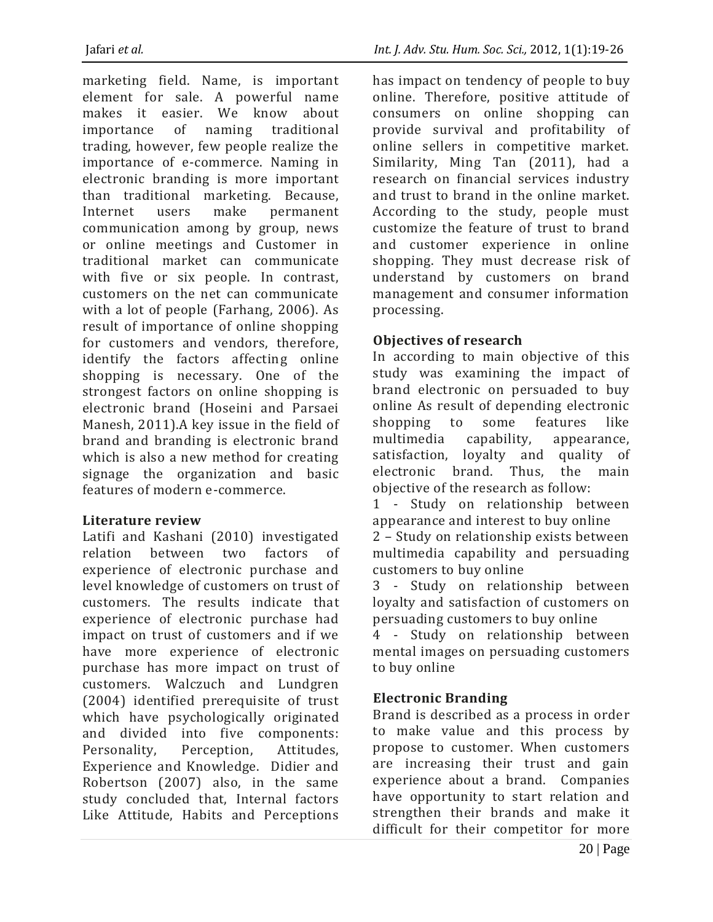marketing field. Name, is important element for sale. A powerful name makes it easier. We know about importance of naming traditional trading, however, few people realize the importance of e-commerce. Naming in electronic branding is more important than traditional marketing. Because, Internet users make permanent communication among by group, news or online meetings and Customer in traditional market can communicate with five or six people. In contrast, customers on the net can communicate with a lot of people (Farhang, 2006). As result of importance of online shopping for customers and vendors, therefore, identify the factors affecting online shopping is necessary. One of the strongest factors on online shopping is electronic brand (Hoseini and Parsaei Manesh, 2011).A key issue in the field of brand and branding is electronic brand which is also a new method for creating signage the organization and basic features of modern e-commerce.

# **Literature review**

Latifi and Kashani (2010) investigated relation between two factors of experience of electronic purchase and level knowledge of customers on trust of customers. The results indicate that experience of electronic purchase had impact on trust of customers and if we have more experience of electronic purchase has more impact on trust of customers. Walczuch and Lundgren (2004) identified prerequisite of trust which have psychologically originated and divided into five components: Personality, Perception, Attitudes, Experience and Knowledge. Didier and Robertson (2007) also, in the same study concluded that, Internal factors Like Attitude, Habits and Perceptions

has impact on tendency of people to buy online. Therefore, positive attitude of consumers on online shopping can provide survival and profitability of online sellers in competitive market. Similarity, Ming Tan (2011), had a research on financial services industry and trust to brand in the online market. According to the study, people must customize the feature of trust to brand and customer experience in online shopping. They must decrease risk of understand by customers on brand management and consumer information processing.

# **Objectives of research**

In according to main objective of this study was examining the impact of brand electronic on persuaded to buy online As result of depending electronic shopping to some features like multimedia capability, appearance, satisfaction, loyalty and quality of electronic brand. Thus, the main objective of the research as follow:

1 - Study on relationship between appearance and interest to buy online

2 – Study on relationship exists between multimedia capability and persuading customers to buy online

3 - Study on relationship between loyalty and satisfaction of customers on persuading customers to buy online

4 - Study on relationship between mental images on persuading customers to buy online

# **Electronic Branding**

Brand is described as a process in order to make value and this process by propose to customer. When customers are increasing their trust and gain experience about a brand. Companies have opportunity to start relation and strengthen their brands and make it difficult for their competitor for more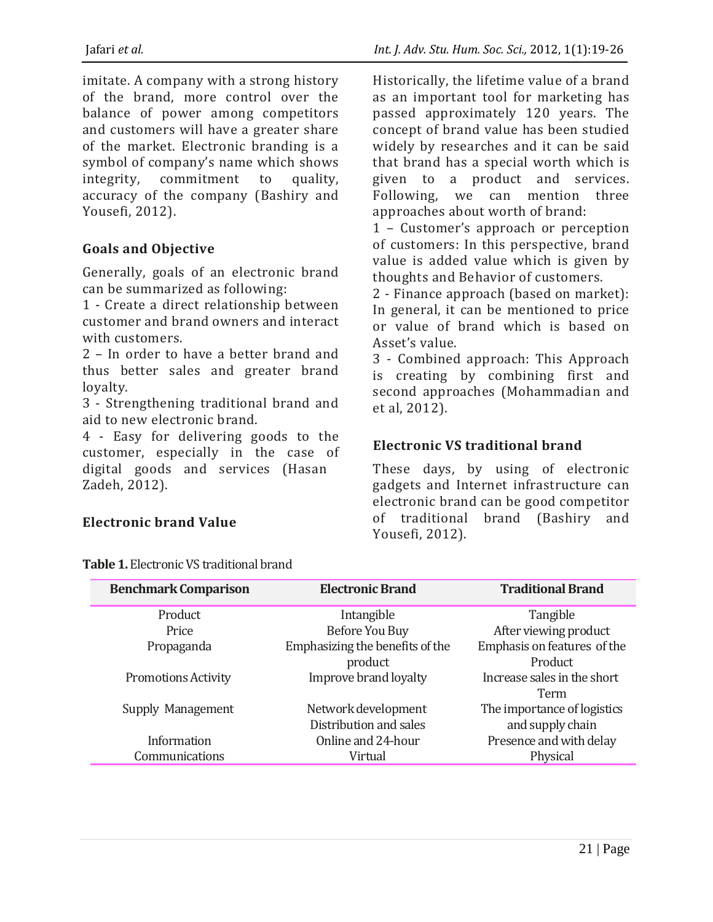imitate. A company with a strong history of the brand, more control over the balance of power among competitors and customers will have a greater share of the market. Electronic branding is a symbol of company's name which shows integrity, commitment to quality, accuracy of the company (Bashiry and Yousefi, 2012).

#### **Goals and Objective**

Generally, goals of an electronic brand can be summarized as following:

1 - Create a direct relationship between customer and brand owners and interact with customers.

2 – In order to have a better brand and thus better sales and greater brand loyalty.

3 - Strengthening traditional brand and aid to new electronic brand.

4 - Easy for delivering goods to the customer, especially in the case of digital goods and services (Hasan Zadeh, 2012).

#### **Electronic brand Value**

Historically, the lifetime value of a brand as an important tool for marketing has passed approximately 120 years. The concept of brand value has been studied widely by researches and it can be said that brand has a special worth which is given to a product and services. Following, we can mention three approaches about worth of brand:

1 – Customer's approach or perception of customers: In this perspective, brand value is added value which is given by thoughts and Behavior of customers.

2 - Finance approach (based on market): In general, it can be mentioned to price or value of brand which is based on Asset's value.

3 - Combined approach: This Approach is creating by combining first and second approaches (Mohammadian and et al, 2012).

## **Electronic VS traditional brand**

These days, by using of electronic gadgets and Internet infrastructure can electronic brand can be good competitor of traditional brand (Bashiry and Yousefi, 2012).

| <b>Benchmark Comparison</b> | <b>Electronic Brand</b>         | <b>Traditional Brand</b>    |
|-----------------------------|---------------------------------|-----------------------------|
| Product                     | Intangible                      | Tangible                    |
| Price                       | Before You Buy                  | After viewing product       |
| Propaganda                  | Emphasizing the benefits of the | Emphasis on features of the |
|                             | product                         | Product                     |
| <b>Promotions Activity</b>  | Improve brand loyalty           | Increase sales in the short |
|                             |                                 | Term                        |
| Supply Management           | Network development             | The importance of logistics |
|                             | Distribution and sales          | and supply chain            |
| Information                 | Online and 24-hour              | Presence and with delay     |
| Communications              | Virtual                         | Physical                    |

**Table 1.** Electronic VS traditional brand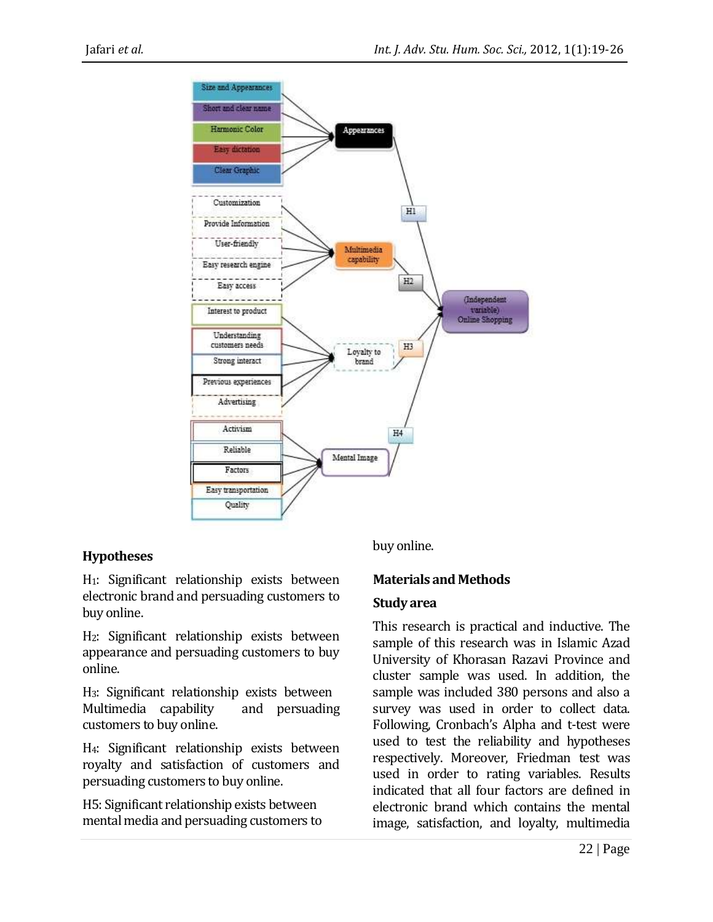

## **Hypotheses**

H1: Significant relationship exists between electronic brand and persuading customers to buy online.

H2: Significant relationship exists between appearance and persuading customers to buy online.

H3: Significant relationship exists between Multimedia capability and persuading customers to buy online.

H4: Significant relationship exists between royalty and satisfaction of customers and persuading customers to buy online.

H5: Significant relationship exists between mental media and persuading customers to buy online.

## **Materials and Methods**

#### **Study area**

This research is practical and inductive. The sample of this research was in Islamic Azad University of Khorasan Razavi Province and cluster sample was used. In addition, the sample was included 380 persons and also a survey was used in order to collect data. Following, Cronbach's Alpha and t-test were used to test the reliability and hypotheses respectively. Moreover, Friedman test was used in order to rating variables. Results indicated that all four factors are defined in electronic brand which contains the mental image, satisfaction, and loyalty, multimedia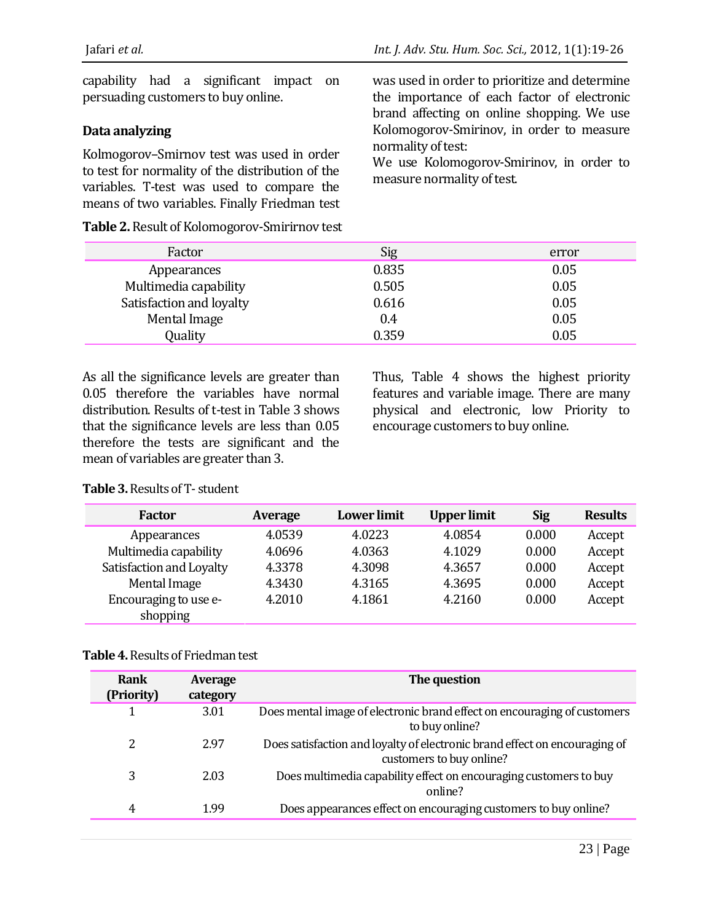capability had a significant impact on persuading customers to buy online.

## **Data analyzing**

Kolmogorov–Smirnov test was used in order to test for normality of the distribution of the variables. T-test was used to compare the means of two variables. Finally Friedman test

**Table 2.** Result of Kolomogorov-Smirirnov test

was used in order to prioritize and determine the importance of each factor of electronic brand affecting on online shopping. We use Kolomogorov-Smirinov, in order to measure normality of test:

We use Kolomogorov-Smirinov, in order to measure normality of test.

| Factor                   | Sig   | error |
|--------------------------|-------|-------|
| Appearances              | 0.835 | 0.05  |
| Multimedia capability    | 0.505 | 0.05  |
| Satisfaction and loyalty | 0.616 | 0.05  |
| Mental Image             | 0.4   | 0.05  |
| Quality                  | 0.359 | 0.05  |

As all the significance levels are greater than 0.05 therefore the variables have normal distribution. Results of t-test in Table 3 shows that the significance levels are less than 0.05 therefore the tests are significant and the mean of variables are greater than 3.

Thus, Table 4 shows the highest priority features and variable image. There are many physical and electronic, low Priority to encourage customers to buy online.

| Table 3. Results of T-student |
|-------------------------------|
|-------------------------------|

| Factor                   | Average | <b>Lower</b> limit | <b>Upper limit</b> | <b>Sig</b> | <b>Results</b> |
|--------------------------|---------|--------------------|--------------------|------------|----------------|
| Appearances              | 4.0539  | 4.0223             | 4.0854             | 0.000      | Accept         |
| Multimedia capability    | 4.0696  | 4.0363             | 4.1029             | 0.000      | Accept         |
| Satisfaction and Loyalty | 4.3378  | 4.3098             | 4.3657             | 0.000      | Accept         |
| Mental Image             | 4.3430  | 4.3165             | 4.3695             | 0.000      | Accept         |
| Encouraging to use e-    | 4.2010  | 4.1861             | 4.2160             | 0.000      | Accept         |
| shopping                 |         |                    |                    |            |                |

#### **Table 4.** Results of Friedman test

| <b>Rank</b><br>(Priority) | Average<br>category | The question                                                                                           |
|---------------------------|---------------------|--------------------------------------------------------------------------------------------------------|
|                           | 3.01                | Does mental image of electronic brand effect on encouraging of customers<br>to buy online?             |
| 2                         | 2.97                | Does satisfaction and loyalty of electronic brand effect on encouraging of<br>customers to buy online? |
| 3                         | 2.03                | Does multimedia capability effect on encouraging customers to buy<br>online?                           |
| 4                         | 1.99                | Does appearances effect on encouraging customers to buy online?                                        |
|                           |                     |                                                                                                        |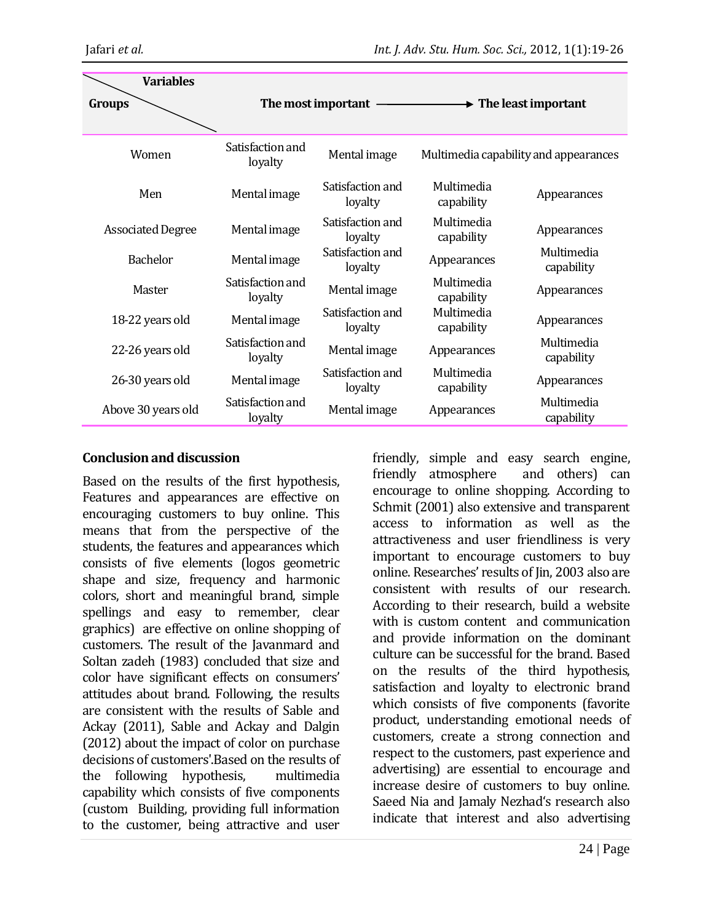| <b>Variables</b>         |                             |                             |                          |                                       |
|--------------------------|-----------------------------|-----------------------------|--------------------------|---------------------------------------|
| Groups                   |                             | The most important -        |                          | $\rightarrow$ The least important     |
| Women                    | Satisfaction and<br>loyalty | Mental image                |                          | Multimedia capability and appearances |
| Men                      | Mental image                | Satisfaction and<br>loyalty | Multimedia<br>capability | Appearances                           |
| <b>Associated Degree</b> | Mental image                | Satisfaction and<br>loyalty | Multimedia<br>capability | Appearances                           |
| <b>Bachelor</b>          | Mental image                | Satisfaction and<br>loyalty | Appearances              | Multimedia<br>capability              |
| Master                   | Satisfaction and<br>loyalty | Mental image                | Multimedia<br>capability | Appearances                           |
| 18-22 years old          | Mental image                | Satisfaction and<br>loyalty | Multimedia<br>capability | Appearances                           |
| 22-26 years old          | Satisfaction and<br>loyalty | Mental image                | Appearances              | Multimedia<br>capability              |
| 26-30 years old          | Mental image                | Satisfaction and<br>loyalty | Multimedia<br>capability | Appearances                           |
| Above 30 years old       | Satisfaction and<br>loyalty | Mental image                | Appearances              | Multimedia<br>capability              |

#### **Conclusion and discussion**

Based on the results of the first hypothesis, Features and appearances are effective on encouraging customers to buy online. This means that from the perspective of the students, the features and appearances which consists of five elements (logos geometric shape and size, frequency and harmonic colors, short and meaningful brand, simple spellings and easy to remember, clear graphics) are effective on online shopping of customers. The result of the Javanmard and Soltan zadeh (1983) concluded that size and color have significant effects on consumers' attitudes about brand. Following, the results are consistent with the results of Sable and Ackay (2011), Sable and Ackay and Dalgin (2012) about the impact of color on purchase decisions of customers'.Based on the results of the following hypothesis, multimedia capability which consists of five components (custom Building, providing full information to the customer, being attractive and user friendly, simple and easy search engine, friendly atmosphere and others) can encourage to online shopping. According to Schmit (2001) also extensive and transparent access to information as well as the attractiveness and user friendliness is very important to encourage customers to buy online. Researches' results of Jin, 2003 also are consistent with results of our research. According to their research, build a website with is custom content and communication and provide information on the dominant culture can be successful for the brand. Based on the results of the third hypothesis, satisfaction and loyalty to electronic brand which consists of five components (favorite product, understanding emotional needs of customers, create a strong connection and respect to the customers, past experience and advertising) are essential to encourage and increase desire of customers to buy online. Saeed Nia and Jamaly Nezhad's research also indicate that interest and also advertising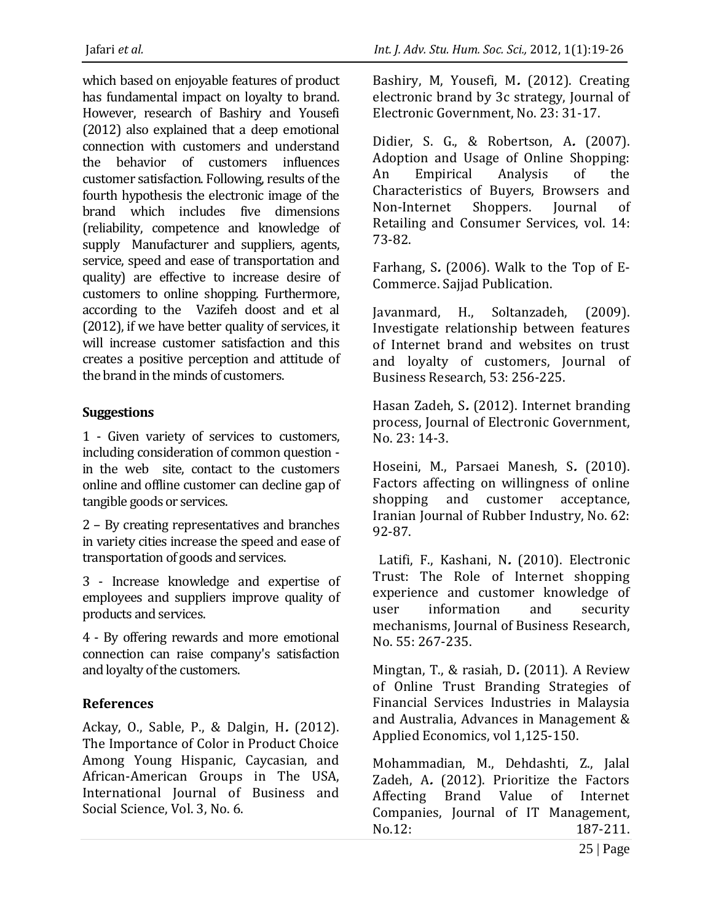which based on enjoyable features of product has fundamental impact on loyalty to brand. However, research of Bashiry and Yousefi (2012) also explained that a deep emotional connection with customers and understand the behavior of customers influences customer satisfaction. Following, results of the fourth hypothesis the electronic image of the brand which includes five dimensions (reliability, competence and knowledge of supply Manufacturer and suppliers, agents, service, speed and ease of transportation and quality) are effective to increase desire of customers to online shopping. Furthermore, according to the Vazifeh doost and et al (2012), if we have better quality of services, it will increase customer satisfaction and this creates a positive perception and attitude of the brand in the minds of customers.

## **Suggestions**

1 - Given variety of services to customers, including consideration of common question in the web site, contact to the customers online and offline customer can decline gap of tangible goods or services.

2 – By creating representatives and branches in variety cities increase the speed and ease of transportation of goods and services.

3 - Increase knowledge and expertise of employees and suppliers improve quality of products and services.

4 - By offering rewards and more emotional connection can raise company's satisfaction and loyalty of the customers.

# **References**

Ackay, O., Sable, P., & Dalgin, H**.** (2012). The Importance of Color in Product Choice Among Young Hispanic, Caycasian, and African-American Groups in The USA, International Journal of Business and Social Science, Vol. 3, No. 6.

Bashiry, M, Yousefi, M**.** (2012). Creating electronic brand by 3c strategy, Journal of Electronic Government, No. 23: 31-17.

Didier, S. G., & Robertson, A**.** (2007). Adoption and Usage of Online Shopping: An Empirical Analysis of the Characteristics of Buyers, Browsers and Non-Internet Shoppers. Journal of Retailing and Consumer Services, vol. 14: 73-82.

Farhang, S**.** (2006). Walk to the Top of E-Commerce. Sajjad Publication.

Javanmard, H., Soltanzadeh, (2009). Investigate relationship between features of Internet brand and websites on trust and loyalty of customers, Journal of Business Research, 53: 256-225.

Hasan Zadeh, S**.** (2012). Internet branding process, Journal of Electronic Government, No. 23: 14-3.

Hoseini, M., Parsaei Manesh, S**.** (2010). Factors affecting on willingness of online shopping and customer acceptance, Iranian Journal of Rubber Industry, No. 62: 92-87.

 Latifi, F., Kashani, N**.** (2010). Electronic Trust: The Role of Internet shopping experience and customer knowledge of user information and security mechanisms, Journal of Business Research, No. 55: 267-235.

Mingtan, T., & rasiah, D**.** (2011). A Review of Online Trust Branding Strategies of Financial Services Industries in Malaysia and Australia, Advances in Management & Applied Economics, vol 1,125-150.

Mohammadian, M., Dehdashti, Z., Jalal Zadeh, A**.** (2012). Prioritize the Factors Affecting Brand Value of Internet Companies, Journal of IT Management, No.12: 187-211.